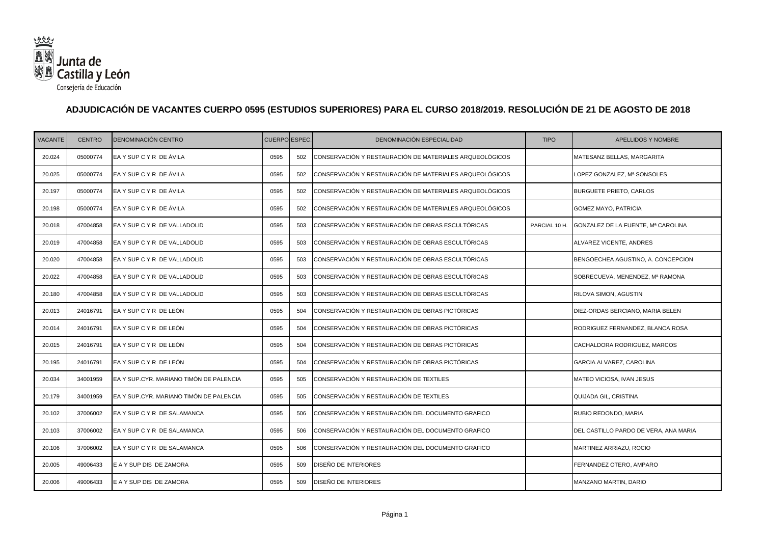

## **ADJUDICACIÓN DE VACANTES CUERPO 0595 (ESTUDIOS SUPERIORES) PARA EL CURSO 2018/2019. RESOLUCIÓN DE 21 DE AGOSTO DE 2018**

| <b>VACANTE</b> | <b>CENTRO</b> | DENOMINACIÓN CENTRO                     | CUERPO ESPEC. |     | DENOMINACIÓN ESPECIALIDAD                               | <b>TIPO</b>   | APELLIDOS Y NOMBRE                    |
|----------------|---------------|-----------------------------------------|---------------|-----|---------------------------------------------------------|---------------|---------------------------------------|
| 20.024         | 05000774      | EAY SUP CYR DE ÁVILA                    | 0595          | 502 | CONSERVACIÓN Y RESTAURACIÓN DE MATERIALES ARQUEOLÓGICOS |               | MATESANZ BELLAS, MARGARITA            |
| 20.025         | 05000774      | EA Y SUP C Y R DE ÁVILA                 | 0595          | 502 | CONSERVACIÓN Y RESTAURACIÓN DE MATERIALES ARQUEOLÓGICOS |               | LOPEZ GONZALEZ, Mª SONSOLES           |
| 20.197         | 05000774      | EA Y SUP C Y R DE ÁVILA                 | 0595          | 502 | CONSERVACIÓN Y RESTAURACIÓN DE MATERIALES ARQUEOLÓGICOS |               | <b>BURGUETE PRIETO, CARLOS</b>        |
| 20.198         | 05000774      | EA Y SUP C Y R DE ÁVILA                 | 0595          | 502 | CONSERVACIÓN Y RESTAURACIÓN DE MATERIALES ARQUEOLÓGICOS |               | <b>GOMEZ MAYO, PATRICIA</b>           |
| 20.018         | 47004858      | EA Y SUP C Y R DE VALLADOLID            | 0595          | 503 | CONSERVACIÓN Y RESTAURACIÓN DE OBRAS ESCULTÓRICAS       | PARCIAL 10 H. | GONZALEZ DE LA FUENTE, Mª CAROLINA    |
| 20.019         | 47004858      | EA Y SUP C Y R DE VALLADOLID            | 0595          | 503 | CONSERVACIÓN Y RESTAURACIÓN DE OBRAS ESCULTÓRICAS       |               | ALVAREZ VICENTE, ANDRES               |
| 20.020         | 47004858      | EA Y SUP C Y R DE VALLADOLID            | 0595          | 503 | CONSERVACIÓN Y RESTAURACIÓN DE OBRAS ESCULTÓRICAS       |               | BENGOECHEA AGUSTINO, A. CONCEPCION    |
| 20.022         | 47004858      | EA Y SUP C Y R DE VALLADOLID            | 0595          | 503 | CONSERVACIÓN Y RESTAURACIÓN DE OBRAS ESCULTÓRICAS       |               | SOBRECUEVA, MENENDEZ, Mª RAMONA       |
| 20.180         | 47004858      | EA Y SUP C Y R DE VALLADOLID            | 0595          | 503 | CONSERVACIÓN Y RESTAURACIÓN DE OBRAS ESCULTÓRICAS       |               | RILOVA SIMON, AGUSTIN                 |
| 20.013         | 24016791      | EA Y SUP C Y R DE LEÓN                  | 0595          | 504 | CONSERVACIÓN Y RESTAURACIÓN DE OBRAS PICTÓRICAS         |               | DIEZ-ORDAS BERCIANO, MARIA BELEN      |
| 20.014         | 24016791      | EA Y SUP C Y R DE LEÓN                  | 0595          | 504 | CONSERVACIÓN Y RESTAURACIÓN DE OBRAS PICTÓRICAS         |               | RODRIGUEZ FERNANDEZ, BLANCA ROSA      |
| 20.015         | 24016791      | EA Y SUP C Y R DE LEÓN                  | 0595          | 504 | CONSERVACIÓN Y RESTAURACIÓN DE OBRAS PICTÓRICAS         |               | CACHALDORA RODRIGUEZ, MARCOS          |
| 20.195         | 24016791      | EA Y SUP C Y R DE LEÓN                  | 0595          | 504 | CONSERVACIÓN Y RESTAURACIÓN DE OBRAS PICTÓRICAS         |               | GARCIA ALVAREZ, CAROLINA              |
| 20.034         | 34001959      | EA Y SUP.CYR. MARIANO TIMÓN DE PALENCIA | 0595          | 505 | CONSERVACIÓN Y RESTAURACIÓN DE TEXTILES                 |               | MATEO VICIOSA, IVAN JESUS             |
| 20.179         | 34001959      | EA Y SUP.CYR. MARIANO TIMÓN DE PALENCIA | 0595          | 505 | CONSERVACIÓN Y RESTAURACIÓN DE TEXTILES                 |               | QUIJADA GIL, CRISTINA                 |
| 20.102         | 37006002      | EA Y SUP C Y R DE SALAMANCA             | 0595          | 506 | CONSERVACIÓN Y RESTAURACIÓN DEL DOCUMENTO GRAFICO       |               | RUBIO REDONDO, MARIA                  |
| 20.103         | 37006002      | EA Y SUP C Y R DE SALAMANCA             | 0595          | 506 | CONSERVACIÓN Y RESTAURACIÓN DEL DOCUMENTO GRAFICO       |               | DEL CASTILLO PARDO DE VERA, ANA MARIA |
| 20.106         | 37006002      | EA Y SUP C Y R DE SALAMANCA             | 0595          | 506 | CONSERVACIÓN Y RESTAURACIÓN DEL DOCUMENTO GRAFICO       |               | MARTINEZ ARRIAZU, ROCIO               |
| 20.005         | 49006433      | E A Y SUP DIS DE ZAMORA                 | 0595          | 509 | DISEÑO DE INTERIORES                                    |               | FERNANDEZ OTERO, AMPARO               |
| 20.006         | 49006433      | E A Y SUP DIS DE ZAMORA                 | 0595          | 509 | DISEÑO DE INTERIORES                                    |               | MANZANO MARTIN, DARIO                 |